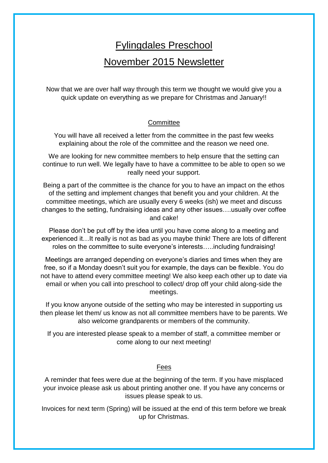# Fylingdales Preschool

## November 2015 Newsletter

Now that we are over half way through this term we thought we would give you a quick update on everything as we prepare for Christmas and January!!

#### **Committee**

You will have all received a letter from the committee in the past few weeks explaining about the role of the committee and the reason we need one.

We are looking for new committee members to help ensure that the setting can continue to run well. We legally have to have a committee to be able to open so we really need your support.

Being a part of the committee is the chance for you to have an impact on the ethos of the setting and implement changes that benefit you and your children. At the committee meetings, which are usually every 6 weeks (ish) we meet and discuss changes to the setting, fundraising ideas and any other issues….usually over coffee and cake!

Please don't be put off by the idea until you have come along to a meeting and experienced it…It really is not as bad as you maybe think! There are lots of different roles on the committee to suite everyone's interests…..including fundraising!

Meetings are arranged depending on everyone's diaries and times when they are free, so if a Monday doesn't suit you for example, the days can be flexible. You do not have to attend every committee meeting! We also keep each other up to date via email or when you call into preschool to collect/ drop off your child along-side the meetings.

If you know anyone outside of the setting who may be interested in supporting us then please let them/ us know as not all committee members have to be parents. We also welcome grandparents or members of the community.

If you are interested please speak to a member of staff, a committee member or come along to our next meeting!

### Fees

A reminder that fees were due at the beginning of the term. If you have misplaced your invoice please ask us about printing another one. If you have any concerns or issues please speak to us.

Invoices for next term (Spring) will be issued at the end of this term before we break up for Christmas.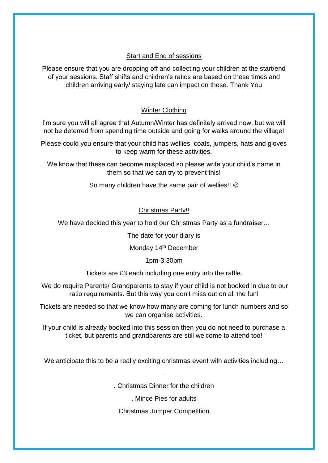### Start and End of sessions

Please ensure that you are dropping off and collecting your children at the start/end of your sessions. Staff shifts and children's ratios are based on these times and children arriving early/ staying late can impact on these. Thank You

### Winter Clothing

I'm sure you will all agree that Autumn/Winter has definitely arrived now, but we will not be deterred from spending time outside and going for walks around the village!

Please could you ensure that your child has wellies, coats, jumpers, hats and gloves to keep warm for these activities.

We know that these can become misplaced so please write your child's name in them so that we can try to prevent this!

So many children have the same pair of wellies!!  $\odot$ 

#### Christmas Party!!

We have decided this year to hold our Christmas Party as a fundraiser…

The date for your diary is

Monday 14<sup>th</sup> December

1pm-3:30pm

Tickets are £3 each including one entry into the raffle.

We do require Parents/ Grandparents to stay if your child is not booked in due to our ratio requirements. But this way you don't miss out on all the fun!

Tickets are needed so that we know how many are coming for lunch numbers and so we can organise activities.

If your child is already booked into this session then you do not need to purchase a ticket, but parents and grandparents are still welcome to attend too!

We anticipate this to be a really exciting christmas event with activities including...

.

. Christmas Dinner for the children

. Mince Pies for adults

Christmas Jumper Competition